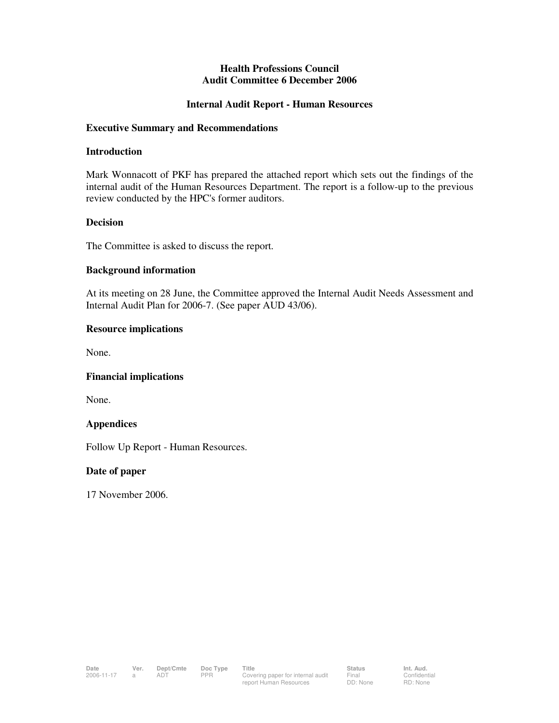#### **Health Professions Council Audit Committee 6 December 2006**

#### **Internal Audit Report - Human Resources**

#### **Executive Summary and Recommendations**

#### **Introduction**

Mark Wonnacott of PKF has prepared the attached report which sets out the findings of the internal audit of the Human Resources Department. The report is a follow-up to the previous review conducted by the HPC's former auditors.

#### **Decision**

The Committee is asked to discuss the report.

#### **Background information**

At its meeting on 28 June, the Committee approved the Internal Audit Needs Assessment and Internal Audit Plan for 2006-7. (See paper AUD 43/06).

#### **Resource implications**

None.

#### **Financial implications**

None.

#### **Appendices**

Follow Up Report - Human Resources.

#### **Date of paper**

17 November 2006.

Confidential RD: None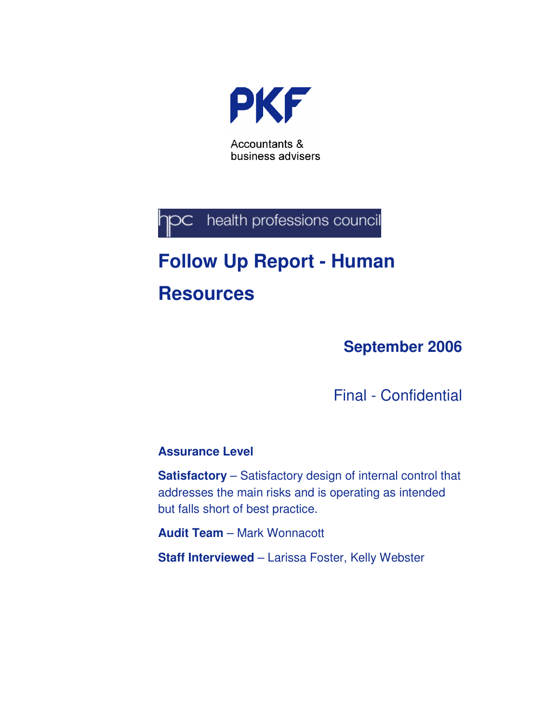

health professions council jрс

# **Follow Up Report - Human Resources**

**September 2006** 

Final - Confidential

#### **Assurance Level**

**Satisfactory** – Satisfactory design of internal control that addresses the main risks and is operating as intended but falls short of best practice.

**Audit Team** – Mark Wonnacott

**Staff Interviewed** – Larissa Foster, Kelly Webster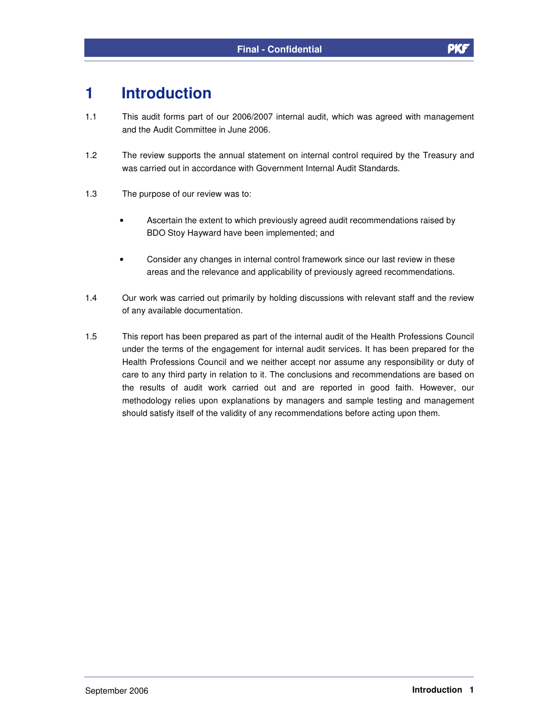### **1 Introduction**

- 1.1 This audit forms part of our 2006/2007 internal audit, which was agreed with management and the Audit Committee in June 2006.
- 1.2 The review supports the annual statement on internal control required by the Treasury and was carried out in accordance with Government Internal Audit Standards.
- 1.3 The purpose of our review was to:
	- Ascertain the extent to which previously agreed audit recommendations raised by BDO Stoy Hayward have been implemented; and
	- Consider any changes in internal control framework since our last review in these areas and the relevance and applicability of previously agreed recommendations.
- 1.4 Our work was carried out primarily by holding discussions with relevant staff and the review of any available documentation.
- 1.5 This report has been prepared as part of the internal audit of the Health Professions Council under the terms of the engagement for internal audit services. It has been prepared for the Health Professions Council and we neither accept nor assume any responsibility or duty of care to any third party in relation to it. The conclusions and recommendations are based on the results of audit work carried out and are reported in good faith. However, our methodology relies upon explanations by managers and sample testing and management should satisfy itself of the validity of any recommendations before acting upon them.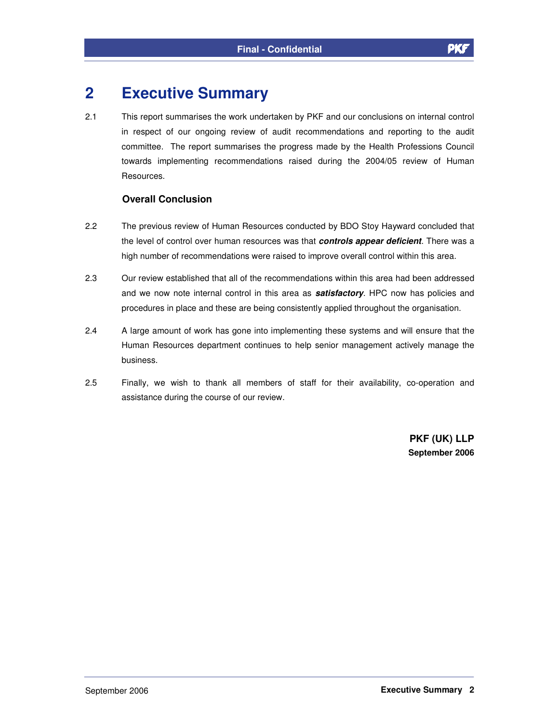## **2 Executive Summary**

2.1 This report summarises the work undertaken by PKF and our conclusions on internal control in respect of our ongoing review of audit recommendations and reporting to the audit committee. The report summarises the progress made by the Health Professions Council towards implementing recommendations raised during the 2004/05 review of Human Resources.

#### **Overall Conclusion**

- 2.2 The previous review of Human Resources conducted by BDO Stoy Hayward concluded that the level of control over human resources was that **controls appear deficient**. There was a high number of recommendations were raised to improve overall control within this area.
- 2.3 Our review established that all of the recommendations within this area had been addressed and we now note internal control in this area as **satisfactory**. HPC now has policies and procedures in place and these are being consistently applied throughout the organisation.
- 2.4 A large amount of work has gone into implementing these systems and will ensure that the Human Resources department continues to help senior management actively manage the business.
- 2.5 Finally, we wish to thank all members of staff for their availability, co-operation and assistance during the course of our review.

**PKF (UK) LLP September 2006**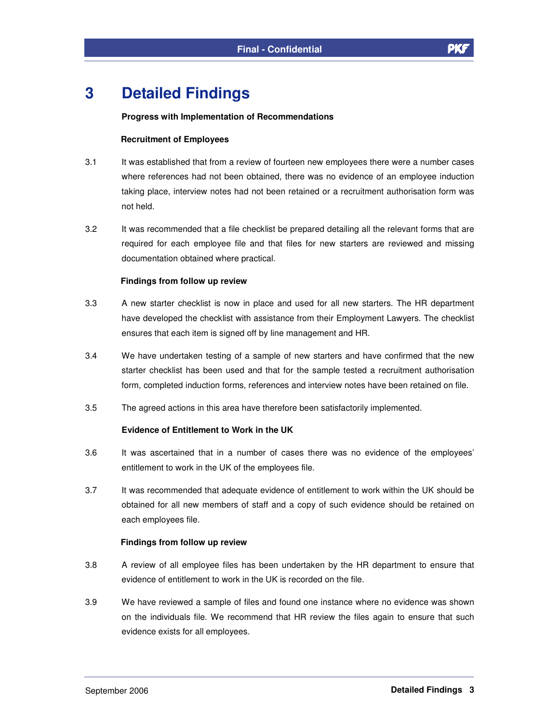# **3 Detailed Findings**

#### **Progress with Implementation of Recommendations**

#### **Recruitment of Employees**

- 3.1 It was established that from a review of fourteen new employees there were a number cases where references had not been obtained, there was no evidence of an employee induction taking place, interview notes had not been retained or a recruitment authorisation form was not held.
- 3.2 It was recommended that a file checklist be prepared detailing all the relevant forms that are required for each employee file and that files for new starters are reviewed and missing documentation obtained where practical.

#### **Findings from follow up review**

- 3.3 A new starter checklist is now in place and used for all new starters. The HR department have developed the checklist with assistance from their Employment Lawyers. The checklist ensures that each item is signed off by line management and HR.
- 3.4 We have undertaken testing of a sample of new starters and have confirmed that the new starter checklist has been used and that for the sample tested a recruitment authorisation form, completed induction forms, references and interview notes have been retained on file.
- 3.5 The agreed actions in this area have therefore been satisfactorily implemented.

#### **Evidence of Entitlement to Work in the UK**

- 3.6 It was ascertained that in a number of cases there was no evidence of the employees' entitlement to work in the UK of the employees file.
- 3.7 It was recommended that adequate evidence of entitlement to work within the UK should be obtained for all new members of staff and a copy of such evidence should be retained on each employees file.

#### **Findings from follow up review**

- 3.8 A review of all employee files has been undertaken by the HR department to ensure that evidence of entitlement to work in the UK is recorded on the file.
- 3.9 We have reviewed a sample of files and found one instance where no evidence was shown on the individuals file. We recommend that HR review the files again to ensure that such evidence exists for all employees.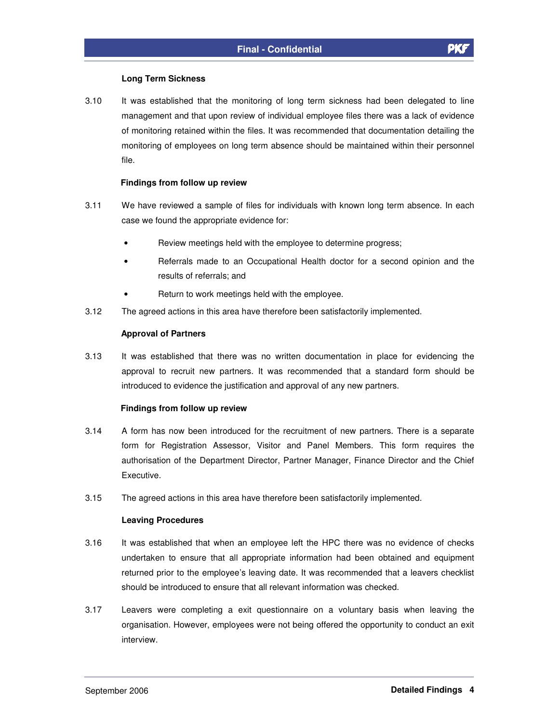#### **Long Term Sickness**

3.10 It was established that the monitoring of long term sickness had been delegated to line management and that upon review of individual employee files there was a lack of evidence of monitoring retained within the files. It was recommended that documentation detailing the monitoring of employees on long term absence should be maintained within their personnel file.

#### **Findings from follow up review**

- 3.11 We have reviewed a sample of files for individuals with known long term absence. In each case we found the appropriate evidence for:
	- Review meetings held with the employee to determine progress;
	- Referrals made to an Occupational Health doctor for a second opinion and the results of referrals; and
	- Return to work meetings held with the employee.
- 3.12 The agreed actions in this area have therefore been satisfactorily implemented.

#### **Approval of Partners**

3.13 It was established that there was no written documentation in place for evidencing the approval to recruit new partners. It was recommended that a standard form should be introduced to evidence the justification and approval of any new partners.

#### **Findings from follow up review**

- 3.14 A form has now been introduced for the recruitment of new partners. There is a separate form for Registration Assessor, Visitor and Panel Members. This form requires the authorisation of the Department Director, Partner Manager, Finance Director and the Chief Executive.
- 3.15 The agreed actions in this area have therefore been satisfactorily implemented.

#### **Leaving Procedures**

- 3.16 It was established that when an employee left the HPC there was no evidence of checks undertaken to ensure that all appropriate information had been obtained and equipment returned prior to the employee's leaving date. It was recommended that a leavers checklist should be introduced to ensure that all relevant information was checked.
- 3.17 Leavers were completing a exit questionnaire on a voluntary basis when leaving the organisation. However, employees were not being offered the opportunity to conduct an exit interview.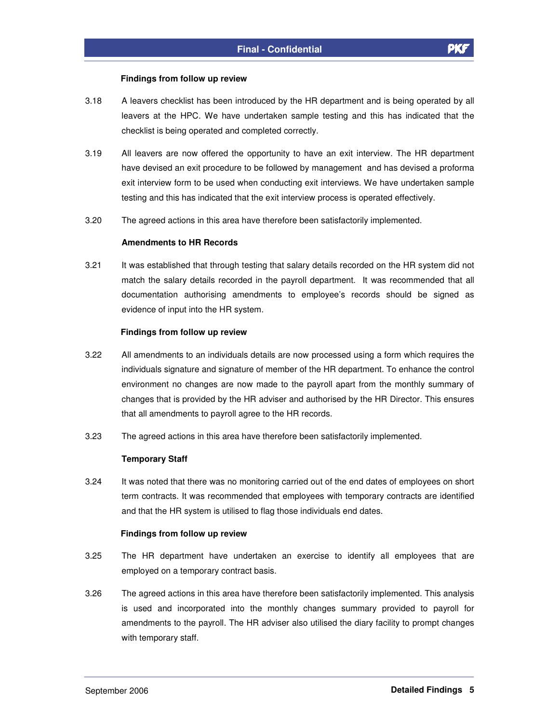#### **Findings from follow up review**

- 3.18 A leavers checklist has been introduced by the HR department and is being operated by all leavers at the HPC. We have undertaken sample testing and this has indicated that the checklist is being operated and completed correctly.
- 3.19 All leavers are now offered the opportunity to have an exit interview. The HR department have devised an exit procedure to be followed by management and has devised a proforma exit interview form to be used when conducting exit interviews. We have undertaken sample testing and this has indicated that the exit interview process is operated effectively.
- 3.20 The agreed actions in this area have therefore been satisfactorily implemented.

#### **Amendments to HR Records**

3.21 It was established that through testing that salary details recorded on the HR system did not match the salary details recorded in the payroll department. It was recommended that all documentation authorising amendments to employee's records should be signed as evidence of input into the HR system.

#### **Findings from follow up review**

- 3.22 All amendments to an individuals details are now processed using a form which requires the individuals signature and signature of member of the HR department. To enhance the control environment no changes are now made to the payroll apart from the monthly summary of changes that is provided by the HR adviser and authorised by the HR Director. This ensures that all amendments to payroll agree to the HR records.
- 3.23 The agreed actions in this area have therefore been satisfactorily implemented.

#### **Temporary Staff**

3.24 It was noted that there was no monitoring carried out of the end dates of employees on short term contracts. It was recommended that employees with temporary contracts are identified and that the HR system is utilised to flag those individuals end dates.

#### **Findings from follow up review**

- 3.25 The HR department have undertaken an exercise to identify all employees that are employed on a temporary contract basis.
- 3.26 The agreed actions in this area have therefore been satisfactorily implemented. This analysis is used and incorporated into the monthly changes summary provided to payroll for amendments to the payroll. The HR adviser also utilised the diary facility to prompt changes with temporary staff.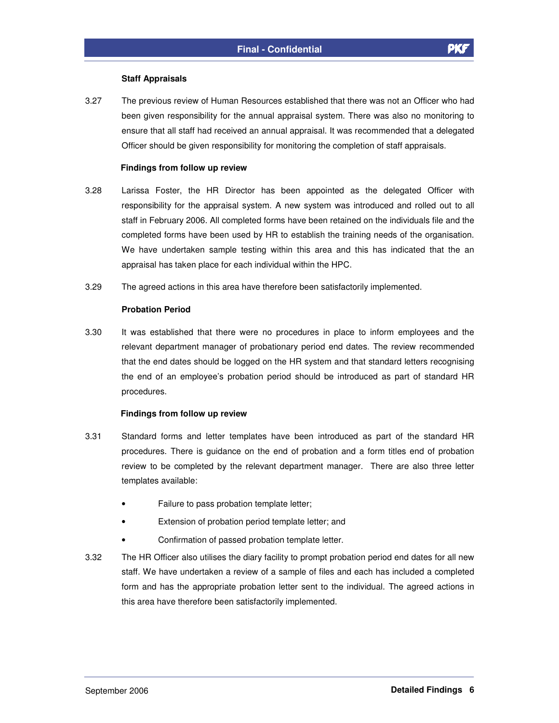#### **Staff Appraisals**

3.27 The previous review of Human Resources established that there was not an Officer who had been given responsibility for the annual appraisal system. There was also no monitoring to ensure that all staff had received an annual appraisal. It was recommended that a delegated Officer should be given responsibility for monitoring the completion of staff appraisals.

#### **Findings from follow up review**

- 3.28 Larissa Foster, the HR Director has been appointed as the delegated Officer with responsibility for the appraisal system. A new system was introduced and rolled out to all staff in February 2006. All completed forms have been retained on the individuals file and the completed forms have been used by HR to establish the training needs of the organisation. We have undertaken sample testing within this area and this has indicated that the an appraisal has taken place for each individual within the HPC.
- 3.29 The agreed actions in this area have therefore been satisfactorily implemented.

#### **Probation Period**

3.30 It was established that there were no procedures in place to inform employees and the relevant department manager of probationary period end dates. The review recommended that the end dates should be logged on the HR system and that standard letters recognising the end of an employee's probation period should be introduced as part of standard HR procedures.

#### **Findings from follow up review**

- 3.31 Standard forms and letter templates have been introduced as part of the standard HR procedures. There is guidance on the end of probation and a form titles end of probation review to be completed by the relevant department manager. There are also three letter templates available:
	- Failure to pass probation template letter;
	- Extension of probation period template letter; and
	- Confirmation of passed probation template letter.
- 3.32 The HR Officer also utilises the diary facility to prompt probation period end dates for all new staff. We have undertaken a review of a sample of files and each has included a completed form and has the appropriate probation letter sent to the individual. The agreed actions in this area have therefore been satisfactorily implemented.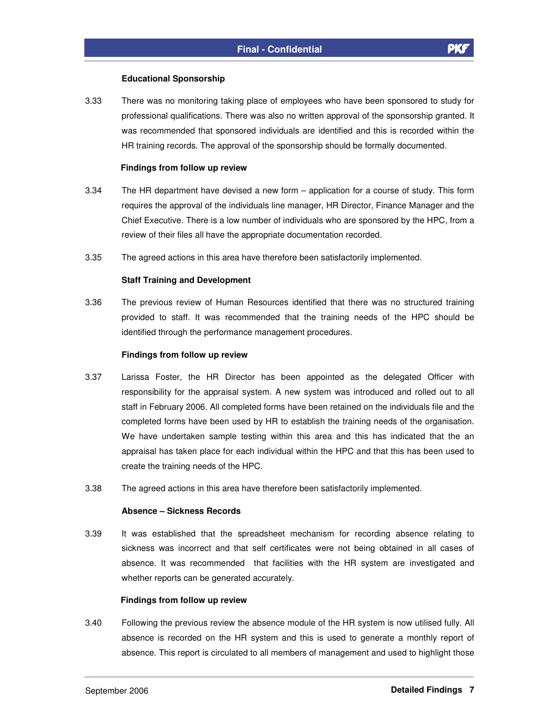#### **Educational Sponsorship**

3.33 There was no monitoring taking place of employees who have been sponsored to study for professional qualifications. There was also no written approval of the sponsorship granted. It was recommended that sponsored individuals are identified and this is recorded within the HR training records. The approval of the sponsorship should be formally documented.

#### **Findings from follow up review**

- 3.34 The HR department have devised a new form application for a course of study. This form requires the approval of the individuals line manager, HR Director, Finance Manager and the Chief Executive. There is a low number of individuals who are sponsored by the HPC, from a review of their files all have the appropriate documentation recorded.
- 3.35 The agreed actions in this area have therefore been satisfactorily implemented.

#### **Staff Training and Development**

3.36 The previous review of Human Resources identified that there was no structured training provided to staff. It was recommended that the training needs of the HPC should be identified through the performance management procedures.

#### **Findings from follow up review**

- 3.37 Larissa Foster, the HR Director has been appointed as the delegated Officer with responsibility for the appraisal system. A new system was introduced and rolled out to all staff in February 2006. All completed forms have been retained on the individuals file and the completed forms have been used by HR to establish the training needs of the organisation. We have undertaken sample testing within this area and this has indicated that the an appraisal has taken place for each individual within the HPC and that this has been used to create the training needs of the HPC.
- 3.38 The agreed actions in this area have therefore been satisfactorily implemented.

#### **Absence – Sickness Records**

3.39 It was established that the spreadsheet mechanism for recording absence relating to sickness was incorrect and that self certificates were not being obtained in all cases of absence. It was recommended that facilities with the HR system are investigated and whether reports can be generated accurately.

#### **Findings from follow up review**

3.40 Following the previous review the absence module of the HR system is now utilised fully. All absence is recorded on the HR system and this is used to generate a monthly report of absence. This report is circulated to all members of management and used to highlight those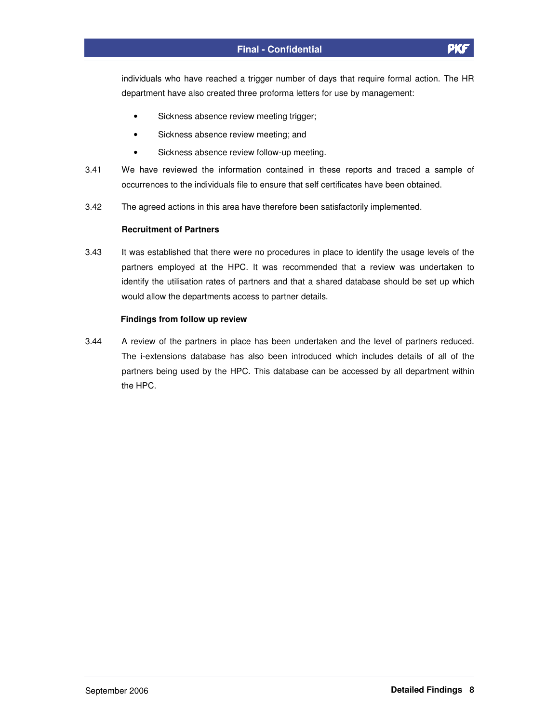individuals who have reached a trigger number of days that require formal action. The HR department have also created three proforma letters for use by management:

- Sickness absence review meeting trigger;
- Sickness absence review meeting; and
- Sickness absence review follow-up meeting.
- 3.41 We have reviewed the information contained in these reports and traced a sample of occurrences to the individuals file to ensure that self certificates have been obtained.
- 3.42 The agreed actions in this area have therefore been satisfactorily implemented.

#### **Recruitment of Partners**

3.43 It was established that there were no procedures in place to identify the usage levels of the partners employed at the HPC. It was recommended that a review was undertaken to identify the utilisation rates of partners and that a shared database should be set up which would allow the departments access to partner details.

#### **Findings from follow up review**

3.44 A review of the partners in place has been undertaken and the level of partners reduced. The i-extensions database has also been introduced which includes details of all of the partners being used by the HPC. This database can be accessed by all department within the HPC.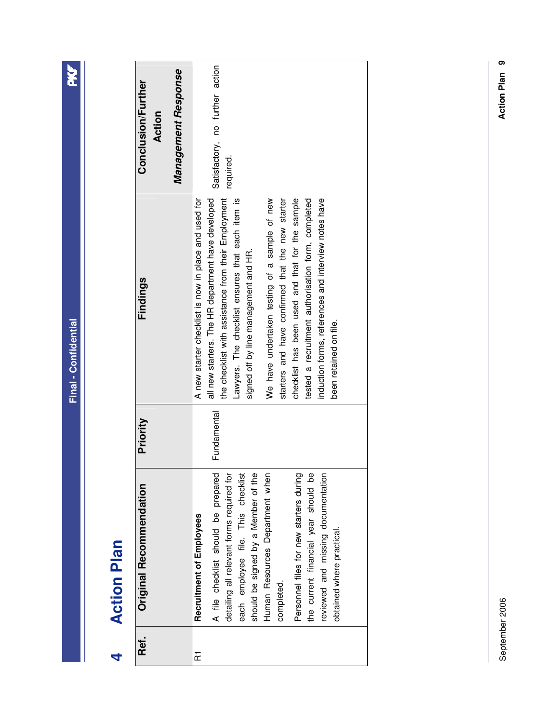PKF

# **Action Plan 4 Action Plan**  4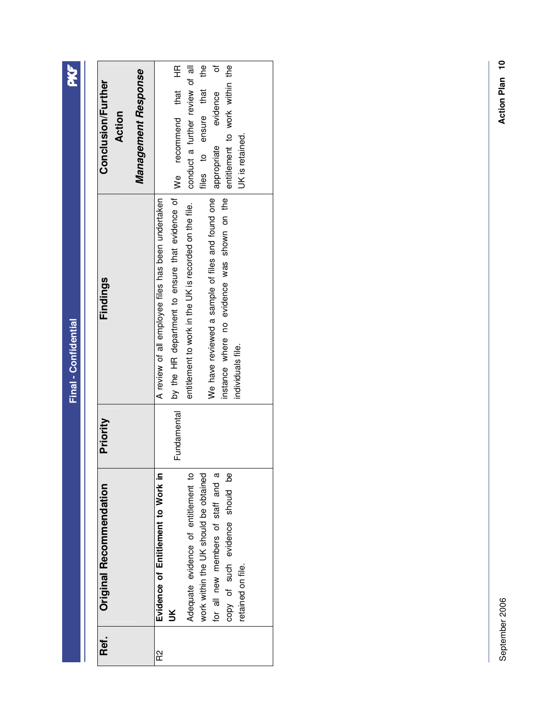| i<br>í |
|--------|
| г      |
| į      |
|        |
| г      |
|        |
|        |
|        |

PKF

| Management Response<br><b>Conclusion/Further</b><br>Action | conduct a further review of all<br>₽4<br>৳<br>entitlement to work within the<br>We recommend that HR<br>iles to ensure that<br>evidence<br>appropriate<br>UK is retained.                                                                                                               |
|------------------------------------------------------------|-----------------------------------------------------------------------------------------------------------------------------------------------------------------------------------------------------------------------------------------------------------------------------------------|
| Findings                                                   | by the HR department to ensure that evidence of<br>We have reviewed a sample of files and found one<br>instance where no evidence was shown on the<br>A review of all employee files has been undertaken<br>entitlement to work in the UK is recorded on the file.<br>individuals file. |
| Priority                                                   | <b>Fundamental</b>                                                                                                                                                                                                                                                                      |
| Original Recommendation                                    | Evidence of Entitlement to Work in<br>Adequate evidence of entitlement to<br>work within the UK should be obtained<br>for all new members of staff and a<br>copy of such evidence should be<br>retained on file.<br>š                                                                   |
| Ref.                                                       | R2                                                                                                                                                                                                                                                                                      |

September 2006 September 2006

Action Plan 10 **Action Plan 10**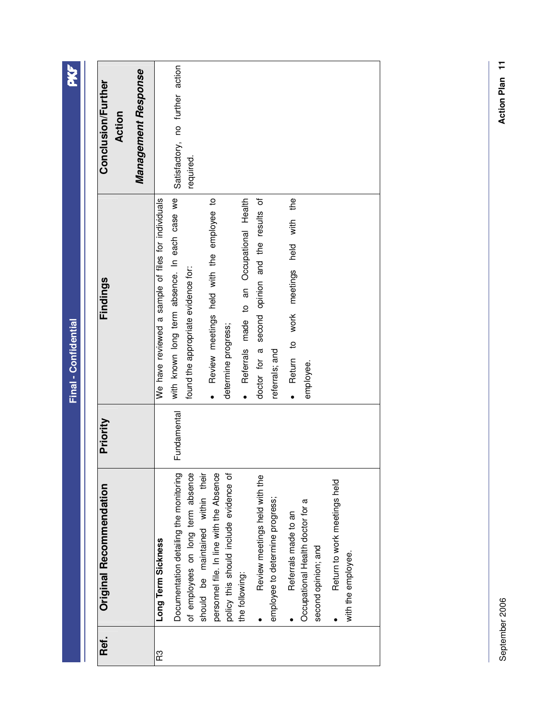| Ref. | Original Recommendation                                 | Priority    | Findings                                           | <b>Conclusion/Further</b><br>Action |
|------|---------------------------------------------------------|-------------|----------------------------------------------------|-------------------------------------|
|      |                                                         |             |                                                    | Management Response                 |
| R3   | Long Term Sickness                                      |             | We have reviewed a sample of files for individuals |                                     |
|      | Documentation detailing the monitoring                  | Fundamental | with known long term absence. In each case we      | Satisfactory, no further action     |
|      | of employees on long term absence                       |             | found the appropriate evidence for:                | required.                           |
|      | should be maintained within their                       |             |                                                    |                                     |
|      | personnel file. In line with the Absence                |             | Review meetings held with the employee to          |                                     |
|      | policy this should include evidence of                  |             | determine progress;                                |                                     |
|      | the following:                                          |             | · Referrals made to an Occupational Health         |                                     |
|      | Review meetings held with the                           |             | doctor for a second opinion and the results of     |                                     |
|      | employee to determine progress;                         |             | referrals; and                                     |                                     |
|      | Referrals made to an                                    |             | the<br>held with<br>· Return to work meetings      |                                     |
|      | Occupational Health doctor for a<br>second opinion; and |             | employee.                                          |                                     |
|      | Return to work meetings held                            |             |                                                    |                                     |
|      | with the employee.                                      |             |                                                    |                                     |
|      |                                                         |             |                                                    |                                     |

PKF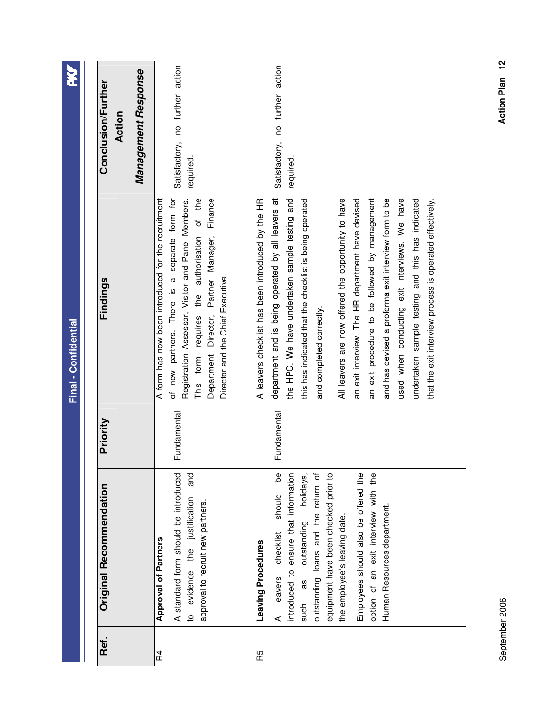| <b>PKF</b>           | Management Response<br>Conclusion/Further<br>Action | Satisfactory, no further action<br>required.                                                                                                                                                                                                                                                     | Satisfactory, no further action<br>required.                                                                                                                                                                                                                                                                                                                                                                                                                                                                                                                                                                                            |
|----------------------|-----------------------------------------------------|--------------------------------------------------------------------------------------------------------------------------------------------------------------------------------------------------------------------------------------------------------------------------------------------------|-----------------------------------------------------------------------------------------------------------------------------------------------------------------------------------------------------------------------------------------------------------------------------------------------------------------------------------------------------------------------------------------------------------------------------------------------------------------------------------------------------------------------------------------------------------------------------------------------------------------------------------------|
| Final - Confidential | Findings                                            | of new partners. There is a separate form for<br>Registration Assessor, Visitor and Panel Members.<br>A form has now been introduced for the recruitment<br>This form requires the authorisation of the<br>Finance<br>Department Director, Partner Manager,<br>Director and the Chief Executive. | department and is being operated by all leavers at<br>the HPC. We have undertaken sample testing and<br>an exit interview. The HR department have devised<br>an exit procedure to be followed by management<br>and has devised a proforma exit interview form to be<br>used when conducting exit interviews. We have<br>undertaken sample testing and this has indicated<br>this has indicated that the checklist is being operated<br>All leavers are now offered the opportunity to have<br>that the exit interview process is operated effectively.<br>A leavers checklist has been introduced by the HR<br>and completed correctly. |
|                      | Priority                                            | Fundamental                                                                                                                                                                                                                                                                                      | Fundamental                                                                                                                                                                                                                                                                                                                                                                                                                                                                                                                                                                                                                             |
|                      | Original Recommendation                             | and<br>A standard form should be introduced<br>to evidence the justification<br>approval to recruit new partners.<br><b>Approval of Partners</b>                                                                                                                                                 | eq<br>introduced to ensure that information<br>equipment have been checked prior to<br>outstanding loans and the return of<br>holidays,<br>Employees should also be offered the<br>option of an exit interview with the<br>checklist should<br>Human Resources department.<br>outstanding<br>the employee's leaving date.<br>Leaving Procedures<br>A leavers<br>such as                                                                                                                                                                                                                                                                 |
|                      | Ref.                                                | R4                                                                                                                                                                                                                                                                                               | R5                                                                                                                                                                                                                                                                                                                                                                                                                                                                                                                                                                                                                                      |

> September 2006 September 2006

Action Plan 12 **Action Plan 12**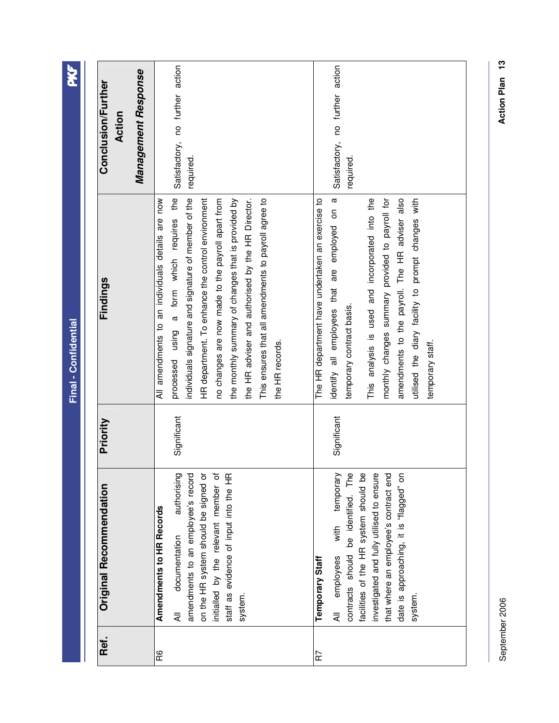| Ref. | Original Recommendation                                                                                                                                                                                                                                                        | Priority    | Findings                                                                                                                                                                                                                                                                                                                                                                                                                                              | Management Response<br>Conclusion/Further<br>Action |
|------|--------------------------------------------------------------------------------------------------------------------------------------------------------------------------------------------------------------------------------------------------------------------------------|-------------|-------------------------------------------------------------------------------------------------------------------------------------------------------------------------------------------------------------------------------------------------------------------------------------------------------------------------------------------------------------------------------------------------------------------------------------------------------|-----------------------------------------------------|
| R6   | amendments to an employee's record<br>initialled by the relevant member of<br>authorising<br>staff as evidence of input into the HR<br>on the HR system should be signed or<br><b>Amendments to HR Records</b><br>documentation<br>system.<br>₹                                | Significant | processed using a form which requires the<br>individuals signature and signature of member of the<br>the HR adviser and authorised by the HR Director.<br>HR department. To enhance the control environment<br>the monthly summary of changes that is provided by<br>This ensures that all amendments to payroll agree to<br>All amendments to an individuals details are now<br>no changes are now made to the payroll apart from<br>the HR records. | Satisfactory, no further action<br>required.        |
| R7   | with temporary<br>contracts should be identified. The<br>investigated and fully utilised to ensure<br>facilities of the HR system should be<br>that where an employee's contract end<br>date is approaching, it is "flagged" on<br>All employees<br>Temporary Staff<br>system. | Significant | identify all employees that are employed on a<br>The HR department have undertaken an exercise to<br>This analysis is used and incorporated into the<br>monthly changes summary provided to payroll for<br>amendments to the payroll. The HR adviser also<br>utilised the diary facility to prompt changes with<br>temporary contract basis.<br>temporary staff.                                                                                      | Satisfactory, no further action<br>required.        |

September 2006 September 2006

Action Plan 13 **Action Plan 13**

PKF

**Final - Confidential** 

Final - Confidential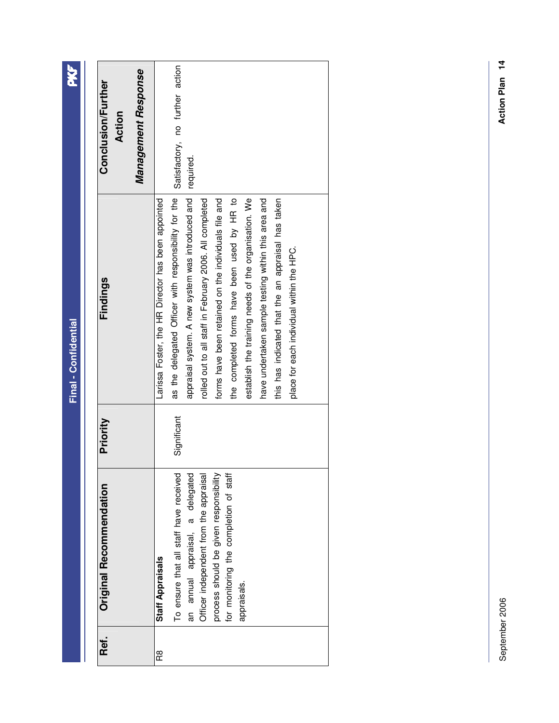| Ref. | Original Recommendation                | Priority    | Findings                                                | <b>Conclusion/Further</b><br>Action |
|------|----------------------------------------|-------------|---------------------------------------------------------|-------------------------------------|
|      |                                        |             |                                                         | Management Response                 |
| R8   | <b>Staff Appraisals</b>                |             | Larissa Foster, the HR Director has been appointed      |                                     |
|      | To ensure that all staff have received | Significant | as the delegated Officer with responsibility for the    | Satisfactory, no further action     |
|      | an annual appraisal, a delegated       |             | appraisal system. A new system was introduced and       | required.                           |
|      | Officer independent from the appraisal |             | rolled out to all staff in February 2006. All completed |                                     |
|      | process should be given responsibility |             | forms have been retained on the individuals file and    |                                     |
|      | for monitoring the completion of staff |             | the completed forms have been used by HR to             |                                     |
|      | appraisals.                            |             | establish the training needs of the organisation. We    |                                     |
|      |                                        |             | have undertaken sample testing within this area and     |                                     |
|      |                                        |             | this has indicated that the an appraisal has taken      |                                     |
|      |                                        |             | place for each individual within the HPC.               |                                     |
|      |                                        |             |                                                         |                                     |
|      |                                        |             |                                                         |                                     |

**PKF**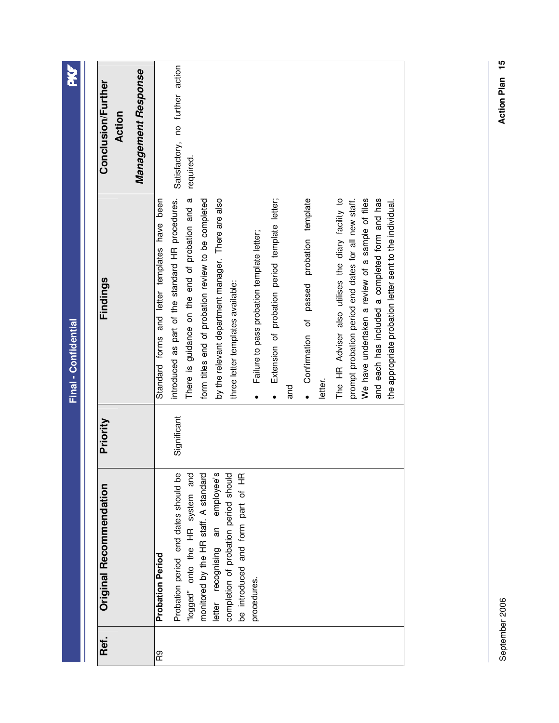| <b>Conclusion/Further</b><br>Action | Management Response | Satisfactory, no further action                                                                    | required.                                                                                              |                                                                                                                |                                                         |                                                                    |                                                        |                                                                                                                                                                                                                                                                              |
|-------------------------------------|---------------------|----------------------------------------------------------------------------------------------------|--------------------------------------------------------------------------------------------------------|----------------------------------------------------------------------------------------------------------------|---------------------------------------------------------|--------------------------------------------------------------------|--------------------------------------------------------|------------------------------------------------------------------------------------------------------------------------------------------------------------------------------------------------------------------------------------------------------------------------------|
| Findings                            |                     | introduced as part of the standard HR procedures.<br>Standard forms and letter templates have been | There is guidance on the end of probation and a<br>form titles end of probation review to be completed | by the relevant department manager. There are also<br>three letter templates available:                        | Failure to pass probation template letter;<br>$\bullet$ | Extension of probation period template letter;<br>and<br>$\bullet$ | · Confirmation of passed probation template<br>letter. | prompt probation period end dates for all new staff.<br>We have undertaken a review of a sample of files<br>The HR Adviser also utilises the diary facility to<br>and each has included a completed form and has<br>the appropriate probation letter sent to the individual. |
| Priority                            |                     | Significant                                                                                        |                                                                                                        |                                                                                                                |                                                         |                                                                    |                                                        |                                                                                                                                                                                                                                                                              |
| Original Recommendation             |                     | Probation period end dates should be<br><b>Probation Period</b>                                    | monitored by the HR staff. A standard<br>"logged" onto the HR system and                               | letter recognising an employee's<br>completion of probation period should<br>be introduced and form part of HR | procedures.                                             |                                                                    |                                                        |                                                                                                                                                                                                                                                                              |
| Ref.                                |                     | R9                                                                                                 |                                                                                                        |                                                                                                                |                                                         |                                                                    |                                                        |                                                                                                                                                                                                                                                                              |

PKF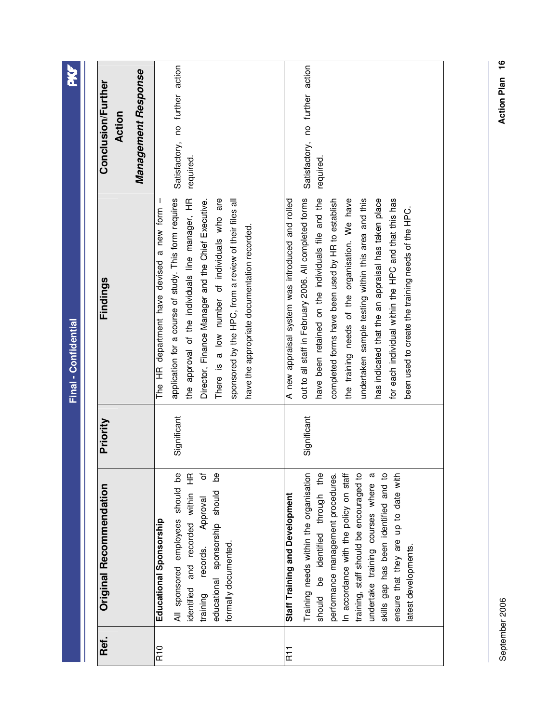| Ref.                  | Original Recommendation                                                                                                                                                                                                                                                                                                                                                                       | Priority    | Findings                                                                                                                                                                                                                                                                                                                                                                                                                                                                                             | <b>Conclusion/Further</b><br>Action          |
|-----------------------|-----------------------------------------------------------------------------------------------------------------------------------------------------------------------------------------------------------------------------------------------------------------------------------------------------------------------------------------------------------------------------------------------|-------------|------------------------------------------------------------------------------------------------------------------------------------------------------------------------------------------------------------------------------------------------------------------------------------------------------------------------------------------------------------------------------------------------------------------------------------------------------------------------------------------------------|----------------------------------------------|
|                       |                                                                                                                                                                                                                                                                                                                                                                                               |             |                                                                                                                                                                                                                                                                                                                                                                                                                                                                                                      | Management Response                          |
| R <sub>10</sub>       | ৳<br>Ъe<br>All sponsored employees should be<br>identified and recorded within HR<br>educational sponsorship should<br>records. Approval<br>Educational Sponsorship<br>formally documented.<br>training                                                                                                                                                                                       | Significant | application for a course of study. This form requires<br>the approval of the individuals line manager, HR<br>There is a low number of individuals who are<br>Director, Finance Manager and the Chief Executive.<br>The HR department have devised a new form -<br>sponsored by the HPC, from a review of their files all<br>have the appropriate documentation recorded.                                                                                                                             | Satisfactory, no further action<br>required. |
| <b>R<sub>11</sub></b> | Training needs within the organisation<br>skills gap has been identified and to<br>should be identified through the<br>performance management procedures.<br>In accordance with the policy on staff<br>training, staff should be encouraged to<br>ensure that they are up to date with<br>undertake training courses where a<br><b>Staff Training and Development</b><br>latest developments. | Significant | out to all staff in February 2006. All completed forms<br>have been retained on the individuals file and the<br>completed forms have been used by HR to establish<br>the training needs of the organisation. We have<br>undertaken sample testing within this area and this<br>has indicated that the an appraisal has taken place<br>for each individual within the HPC and that this has<br>A new appraisal system was introduced and rolled<br>been used to create the training needs of the HPC. | Satisfactory, no further action<br>required. |

September 2006

September 2006

Action Plan 16 **Action Plan 16**

**PKF** 

**Final - Confidential** 

Final - Confidential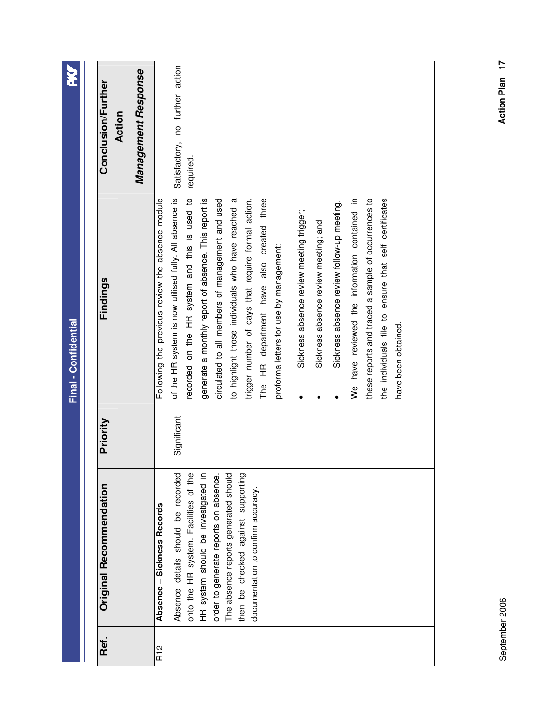| Management Response<br><b>Conclusion/Further</b><br>Action | Satisfactory, no further action<br>required.                                                                                                                                                                                                                                                                                                                                                                                                                                                                                                                                                                                                                                                                                                                                                                 |
|------------------------------------------------------------|--------------------------------------------------------------------------------------------------------------------------------------------------------------------------------------------------------------------------------------------------------------------------------------------------------------------------------------------------------------------------------------------------------------------------------------------------------------------------------------------------------------------------------------------------------------------------------------------------------------------------------------------------------------------------------------------------------------------------------------------------------------------------------------------------------------|
| Findings                                                   | of the HR system is now utilised fully. All absence is<br>recorded on the HR system and this is used to<br>trigger number of days that require formal action.<br>Following the previous review the absence module<br>circulated to all members of management and used<br>to highlight those individuals who have reached a<br>HR department have also created three<br>generate a monthly report of absence. This report is<br>these reports and traced a sample of occurrences to<br>the individuals file to ensure that self certificates<br>We have reviewed the information contained in<br>Sickness absence review follow-up meeting.<br>Sickness absence review meeting trigger;<br>Sickness absence review meeting; and<br>proforma letters for use by management:<br>have been obtained.<br>The<br>٠ |
| Priority                                                   | Significant                                                                                                                                                                                                                                                                                                                                                                                                                                                                                                                                                                                                                                                                                                                                                                                                  |
| Original Recommendation                                    | Absence details should be recorded<br>onto the HR system. Facilities of the<br>HR system should be investigated in<br>order to generate reports on absence.<br>The absence reports generated should<br>then be checked against supporting<br>documentation to confirm accuracy.<br>Absence - Sickness Records                                                                                                                                                                                                                                                                                                                                                                                                                                                                                                |
| Ref.                                                       | R12                                                                                                                                                                                                                                                                                                                                                                                                                                                                                                                                                                                                                                                                                                                                                                                                          |

September 2006

September 2006

Action Plan 17 **Action Plan 17**

PKF

**Final - Confidential** 

Final - Confidential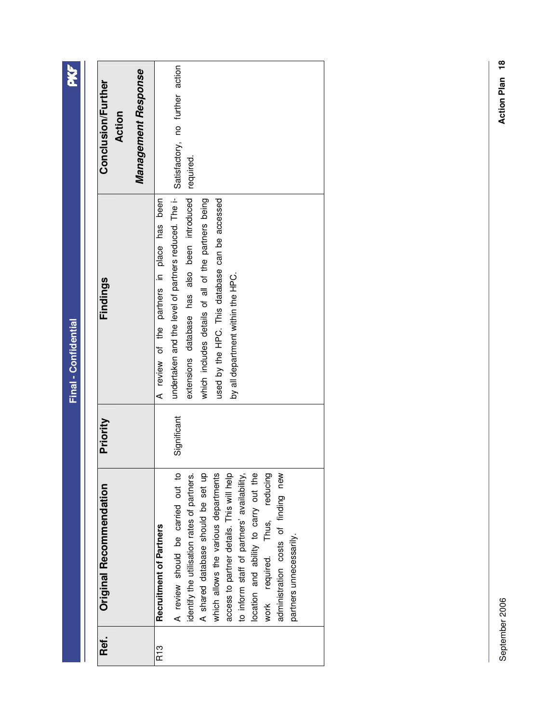| Management Response<br><b>Conclusion/Further</b><br>Action | Satisfactory, no further action<br>required.                                                                                                                                                                                                                                                                                                                                                                                            |
|------------------------------------------------------------|-----------------------------------------------------------------------------------------------------------------------------------------------------------------------------------------------------------------------------------------------------------------------------------------------------------------------------------------------------------------------------------------------------------------------------------------|
| Findings                                                   | extensions database has also been introduced<br>undertaken and the level of partners reduced. The i-<br>A review of the partners in place has been<br>which includes details of all of the partners being<br>used by the HPC. This database can be accessed<br>by all department within the HPC.                                                                                                                                        |
| Priority                                                   | Significant                                                                                                                                                                                                                                                                                                                                                                                                                             |
| <b>Original Recommendation</b>                             | A review should be carried out to<br>A shared database should be set up<br>work required. Thus, reducing<br>administration costs of finding new<br>which allows the various departments<br>identify the utilisation rates of partners.<br>access to partner details. This will help<br>location and ability to carry out the<br>to inform staff of partners' availability,<br><b>Recruitment of Partners</b><br>partners unnecessarily. |
| Ref.                                                       | R13                                                                                                                                                                                                                                                                                                                                                                                                                                     |

**PKF**